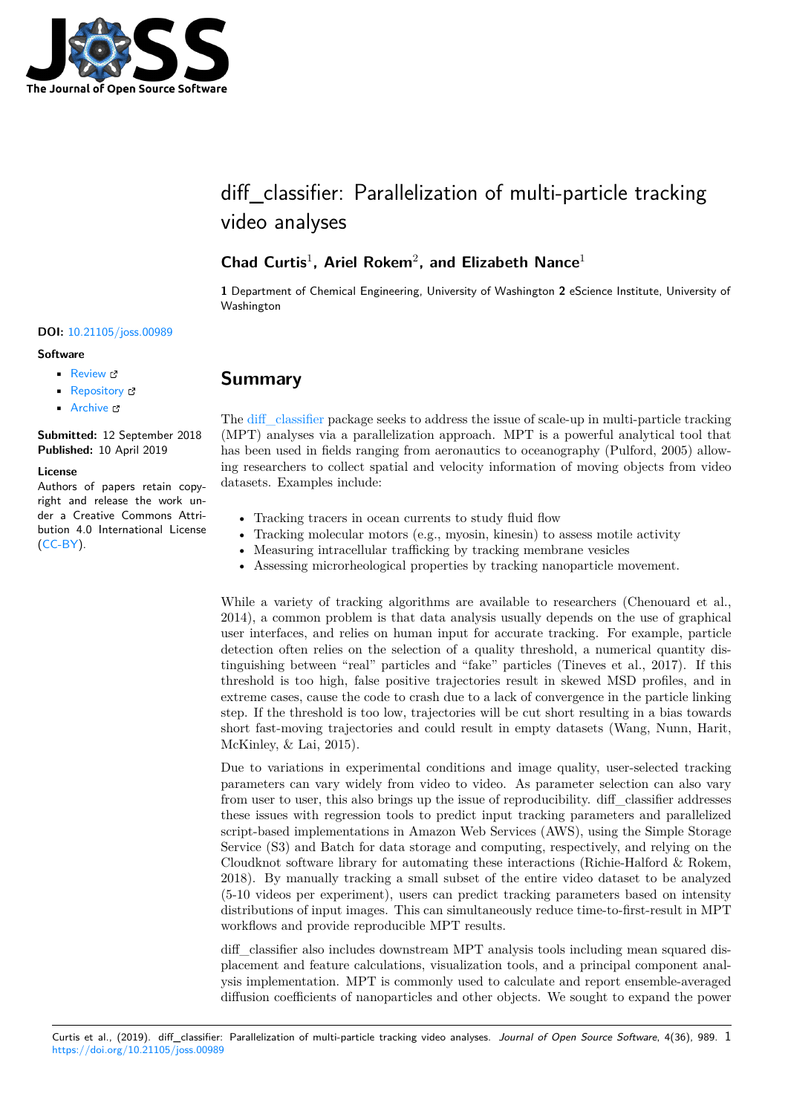

# diff classifier: Parallelization of multi-particle tracking video analyses

# **Chad Curtis**<sup>1</sup> **, Ariel Rokem**<sup>2</sup> **, and Elizabeth Nance**<sup>1</sup>

**1** Department of Chemical Engineering, University of Washington **2** eScience Institute, University of Washington

#### **DOI:** 10.21105/joss.00989

#### **Software**

- Review &
- [Repository](https://doi.org/10.21105/joss.00989) &
- Archive

**Subm[itted:](https://github.com/openjournals/joss-reviews/issues/989)** 12 September 2018 **Published:** [10 Ap](https://github.com/ccurtis7/diff_classifier)ril 2019

#### **Licen[se](https://doi.org/10.5281/zenodo.2631862)**

Authors of papers retain copyright and release the work under a Creative Commons Attribution 4.0 International License (CC-BY).

### **Summary**

The diff classifier package seeks to address the issue of scale-up in multi-particle tracking (MPT) analyses via a parallelization approach. MPT is a powerful analytical tool that has been used in fields ranging from aeronautics to oceanography (Pulford, 2005) allowing researchers to collect spatial and velocity information of moving objects from video data[sets. Example](https://github.com/ccurtis7/diff_classifier)s include:

- Tracking tracers in ocean currents to study fluid flow
- Tracking molecular motors (e.g., myosin, kinesin) to assess motile activity
- Measuring intracellular trafficking by tracking membrane vesicles
- Assessing microrheological properties by tracking nanoparticle movement.

While a variety of tracking algorithms are available to researchers (Chenouard et al., 2014), a common problem is that data analysis usually depends on the use of graphical user interfaces, and relies on human input for accurate tracking. For example, particle detection often relies on the selection of a quality threshold, a numerical quantity distinguishing between "real" particles and "fake" particles (Tineves et al., 2017). If this threshold is too high, false positive trajectories result in skewed MSD profiles, and in extreme cases, cause the code to crash due to a lack of convergence in the particle linking step. If the threshold is too low, trajectories will be cut short resulting in a bias towards short fast-moving trajectories and could result in empty datasets (Wang, Nunn, Harit, McKinley, & Lai, 2015).

Due to variations in experimental conditions and image quality, user-selected tracking parameters can vary widely from video to video. As parameter selection can also vary from user to user, this also brings up the issue of reproducibility. diff\_classifier addresses these issues with regression tools to predict input tracking parameters and parallelized script-based implementations in Amazon Web Services (AWS), using the Simple Storage Service (S3) and Batch for data storage and computing, respectively, and relying on the Cloudknot software library for automating these interactions (Richie-Halford & Rokem, 2018). By manually tracking a small subset of the entire video dataset to be analyzed (5-10 videos per experiment), users can predict tracking parameters based on intensity distributions of input images. This can simultaneously reduce time-to-first-result in MPT workflows and provide reproducible MPT results.

diff classifier also includes downstream MPT analysis tools including mean squared displacement and feature calculations, visualization tools, and a principal component analysis implementation. MPT is commonly used to calculate and report ensemble-averaged diffusion coefficients of nanoparticles and other objects. We sought to expand the power